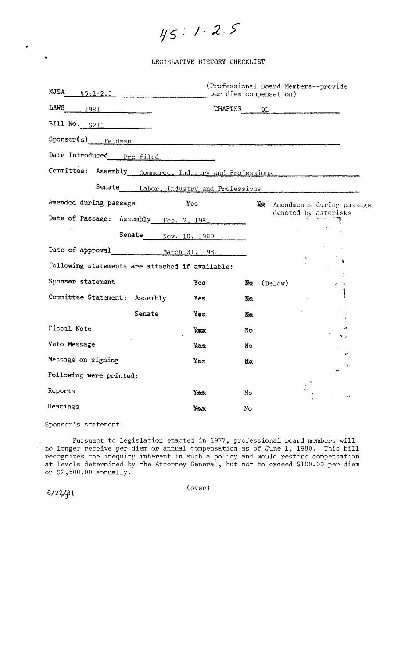45:1.2.5

### LEGISLATIVE HISTORY CHECKLIST

| NJSA                                                   | $45:1-2.5$           | per diem compensation) |     | (Professional Board Members--provide |                           |
|--------------------------------------------------------|----------------------|------------------------|-----|--------------------------------------|---------------------------|
| <b>LAWS</b><br>$\begin{array}{c c} 1981 \end{array}$   |                      | <b>CHAPTER</b>         |     | 91                                   |                           |
| Bill No. S211                                          |                      |                        |     |                                      |                           |
| Sponsor(s) Feldman                                     |                      |                        |     |                                      |                           |
| Date Introduced Pre-filed                              |                      |                        |     |                                      |                           |
| Committee: Assembly Commerce, Industry and Professions |                      |                        |     |                                      |                           |
| Senate Labor, Industry and Professions                 |                      |                        |     |                                      |                           |
| Amended during passage                                 | Yes                  |                        | NR. |                                      | Amendments during passage |
| Date of Passage: Assembly Feb. 2, 1981                 |                      |                        |     | denoted by asterisks                 |                           |
|                                                        | Senate Nov. 10, 1980 |                        |     |                                      |                           |
| Date of approval March 31, 1981                        |                      |                        |     |                                      |                           |
| Following statements are attached if available:        |                      |                        |     |                                      |                           |
| Sponsor statement                                      |                      | <b>Yes</b>             | No  | (Below)                              |                           |
| Committee Statement: Assembly                          |                      | <b>Yes</b>             | Nα  |                                      |                           |
|                                                        | Senate               | Yes                    | No  |                                      |                           |
| Fiscal Note                                            |                      | <b>Yes</b>             | No  |                                      |                           |
| Veto Message                                           |                      | <b>Yax</b>             | No  |                                      | نو                        |
| Message on signing                                     |                      | Yes                    | Να  |                                      | Ï                         |
| Following were printed:                                |                      |                        |     |                                      |                           |
| Reports                                                |                      | Yxxx.                  | No. |                                      |                           |
| Hearings                                               |                      | <b>Yexcy</b>           | No  |                                      |                           |

Sponsor's statement:

Pursuant to legislation enacted in 1977, professional board members will no longer receive per diem or annual compensation as of June 1, 1980. This bill recognizes the inequity inherent in such a policy and would restore compensation<br>at levels determined by the Attorney General, but not to exceed \$100.00 per diem or  $$2,500.00$  annually.

 $6/22/81$ 

 $\bullet$ 

 $(over)$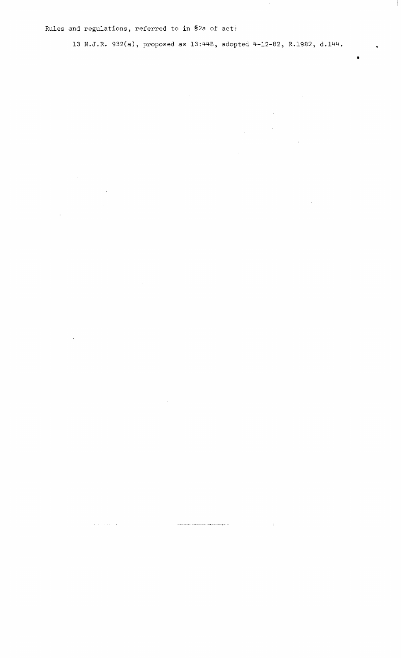Rules and regulations, referred to in §2a of act:

 $\sim 10$ 

 $\label{eq:2.1} \mathcal{L}=\left\{ \left\langle \mathbf{r}_{\mathrm{c}}\left(\mathbf{r}_{\mathrm{c}}\right),\mathbf{r}_{\mathrm{c}}\left(\mathbf{r}_{\mathrm{c}}\right),\mathbf{r}_{\mathrm{c}}\left(\mathbf{r}_{\mathrm{c}}\right),\mathbf{r}_{\mathrm{c}}\left(\mathbf{r}_{\mathrm{c}}\right),\mathbf{r}_{\mathrm{c}}\left(\mathbf{r}_{\mathrm{c}}\right),\mathbf{r}_{\mathrm{c}}\left(\mathbf{r}_{\mathrm{c}}\right),\mathbf{r}_{\mathrm{c}}\left(\mathbf{r}_{\mathrm{c}}\right),\mathbf{r}_{\mathrm$ 

 $\sim$   $\sim$ 

 $\label{eq:convergence} + \partial \mathcal{H}(f) \cdot \rho_{\mathcal{F}} \log \mathcal{H}(f) \cdot \nabla \log \mathcal{H} \cdot \nabla \log \mathcal{H}(\mathcal{H}) \leq \mathcal{H}(\mathcal{H}) \cdot \nabla \log \mathcal{H} \cdot \nabla \log \mathcal{H} \cdot \nabla \log \mathcal{H} \cdot \nabla \mathcal{H} \cdot \mathcal{H}$ 

 $\sim 1$ 

 $\sim 10^{-10}$ 

 $\mathcal{L}^{\text{max}}_{\text{max}}$  ,  $\mathcal{L}^{\text{max}}_{\text{max}}$ 

 $\hat{\mathcal{A}}$ 

 $\langle \rangle$  .

 $\sim 10$ 

13 **N.J.R.** 932(a), proposed as 13:44B, adopted 4-12-82, R.1982, **d.144.** 

 $\mathcal{L}_{\text{eff}}$ 

 $\mathcal{A}^{\mathcal{A}}$ 

 $\mathbf{u}$ 

 $\label{eq:2.1} \frac{1}{\sqrt{2\pi}}\int_{\mathbb{R}^3}\frac{1}{\sqrt{2\pi}}\left(\frac{1}{\sqrt{2\pi}}\right)^2\frac{1}{\sqrt{2\pi}}\frac{1}{\sqrt{2\pi}}\frac{1}{\sqrt{2\pi}}\frac{1}{\sqrt{2\pi}}\frac{1}{\sqrt{2\pi}}\frac{1}{\sqrt{2\pi}}\frac{1}{\sqrt{2\pi}}\frac{1}{\sqrt{2\pi}}\frac{1}{\sqrt{2\pi}}\frac{1}{\sqrt{2\pi}}\frac{1}{\sqrt{2\pi}}\frac{1}{\sqrt{2\pi}}\frac{1}{\sqrt{2\pi}}\frac$ 

 $\frac{1}{\sqrt{2}}$ 

 $\sim 10^4$ 

 $\bar{\mathcal{A}}$ 

 $\sim$   $\sim$ 

•

 $\mathbf{r}$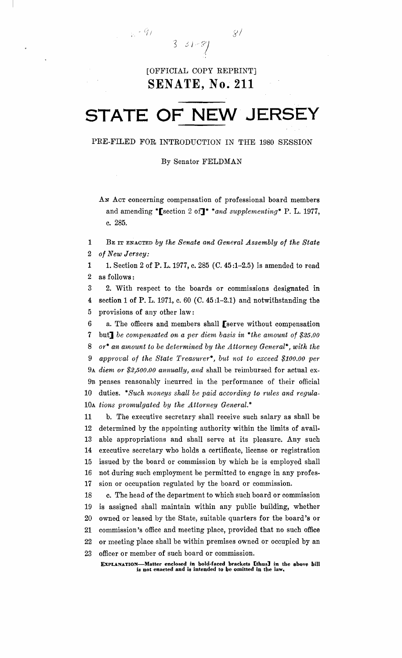[OFFICIAL COPY REPRINT] **SENATE, No. 211** 

 $331 - 8$ 

 $\mathbb{R} \cdot \mathscr{G}_I$ 

 $\mathscr{L}$ 

# **STATE OF NEW JERSEY**

PRE-FILED FOR INTRODUCTION IN THE 1980 SESSION

By Senator FELDMAN

AN ACT concerning compensation of professional board members and amending \*[section 2 of]\* *\*and supplementing\** P. L. 1977, c. 285.

1 BE IT ENACTED *by the Senate and General Assembly of the State*  2 *of New Jersey:* 

1 1. Section 2 of P. L. 1977, c. 285 (C. 45:1-2.5) is amended to read 2 as follows:

3 2. With respect to the boards or commissions designated in 4 section 1 of P. L. 1971, c. 60 (C. 45 :1-2.1) and notwithstanding the 5 provisions of any other law:

6 a. The officers and members shall [serve without compensation 7 but] *be compensated on a per diem basis in \*the amount of \$25.00 8 or· an amount to be determined by the Attorney General"', with the*  9 approval of the State Treasurer<sup>\*</sup>, but not to exceed \$100.00 per 9A *diem or \$2,500.00 annually, and* shall be reimbursed for actual ex-9B penses reasonably incurred in the performance of their official 10 duties. \**Such moneys shall be paid according to rules and regula* 10<sup>A</sup> *tions promulgated by the Attorney General.\** 

11 b. The executive secretary shall receive such salary as shall be 12 determined by the appointing authority within the limits of avail 13 able appropriations and shall serve at its pleasure. Any such 14 executive secretary who holds a certificate, license or registration 15 issued by the board or commission by which he is employed shall 16 not during such employment be permitted to engage in any profes 17 sion or occupation regulated by the board or commission.

18 c. The head of the department to which such board or commission 19 is assigned shall maintain within any public building, whether 20 owned or leased by the State, suitable quarters for the board's or 21 commission's office and meeting place, provided that no such office 22 or meeting place shall be within premises owned or occupied by an 23 officer or member of such board or commission.

ExPLANATION-Matter enclosed in bold-faeed brackets [thus] in the above hill is not enacted and is intended to be omitted in the law.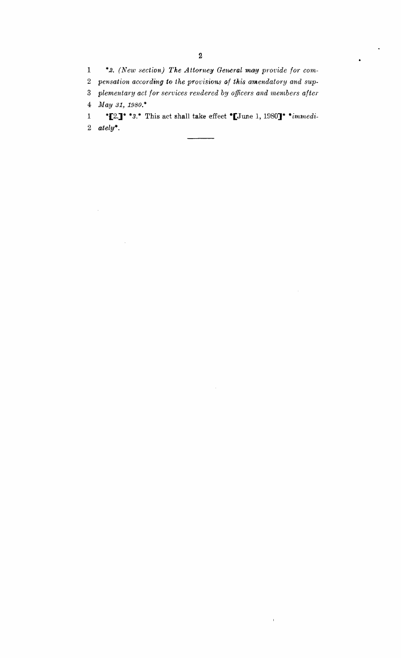$\mathbf{1}$ \*2. (New section) The Attorney General may provide for com $\bullet$ 

2 pensation according to the provisions of this amendatory and sup-

plementary act for services rendered by officers and members after  $\overline{\mathbf{3}}$ 

May 31, 1980.\*  $\overline{\mathbf{4}}$ 

\*[2.]\* \*3.\* This act shall take effect \*[June 1, 1980]\* \*immedi- $\mathbf{1}$ 2  $ately$ <sup>\*</sup>.

 $\mathbf{I}$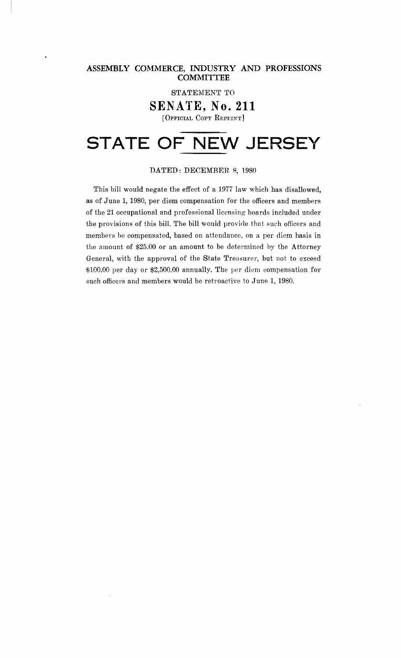ASSEMBLY COMMERCE, INDUSTRY AND PROFESSIONS **COMMITTEE** 

STATEMENT TO

**SENATE, No. 211** 

[OFFICIAL COpy REPHINT]

# **STATE OF NEW JERSEY**

### DATED: DECEMBER. 8, 1980

This bill would negate the effect of a 1977 law which has disallowed, as of June 1, 1980, per diem compensation for the officers and members of the 21 occupational and professional licensing boards included under the provisions of this bill. The bill would provide that such officers and members be compensated, based on attendance, on a per diem basis in the amount of \$25.00 or an amount to be determined by the Attorney General, with the approval of the State Treasurer, but not to exceed \$100.00 per day or \$2,500.00 annually. The per diem compensation for such officers and members would be retroactive to June 1, 1980.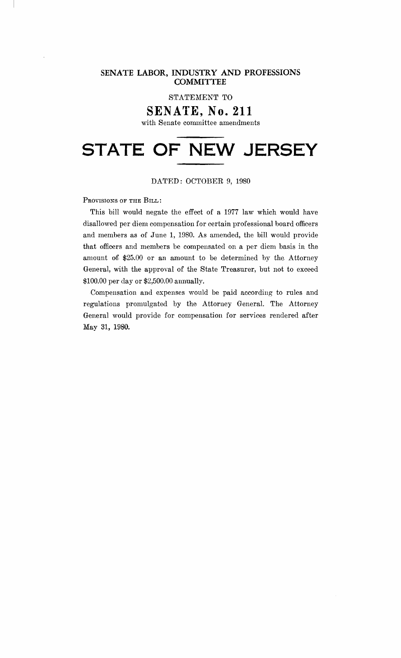### **SENATE LABOR, INDUSTRY AND PROFESSIONS COMMITTEE**

STATEMENT TO

## **SENATE, No. 211**

with Senate committee amendments

# **STATE OF NEW JERSEY**

### DATED: OCTOBER 9, 1980

PROVISIONS OF THE BILL:

This bill would negate the effect of a 1977 law which would have disallowed per diem compensation for certain professional board officers and members as of June 1, 1980. As amended, the bill would provide that offieers and members be compensated on a per diem basis in the amount of \$25.00 or an amount to be determined by the Attorney General, with the approval of the State Treasurer, but not to exceed \$100.00 per day or \$2,500.00 annually.

Compensation and expenses would be paid according to rules and regulations promulgated by the Attorney General. The Attorney General would provide for compensation for services rendered after May 31, 1980.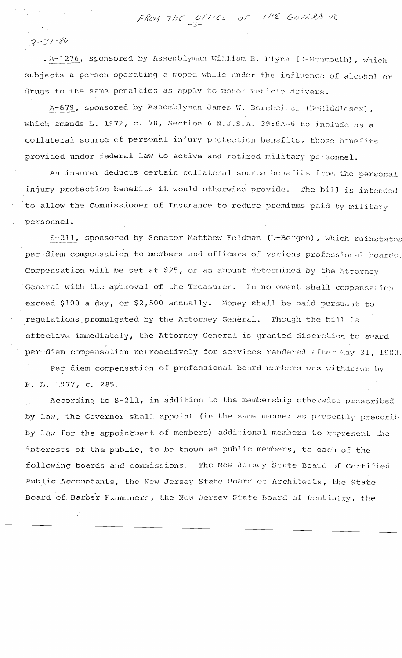FROM THE OFFICE OF THE GOVERNUM

 $3 - 31 - 80$ 

. A-1276, sponsored by Assemblyman William E. Flynn (D-Monmouth), which subjects a person operating a moped while under the influence of alcohol or drugs to the same penalties as apply to motor vehicle drivers.

A-679, sponsored by Assemblyman James W. Bornheimer (D-Middlesex), which amends L. 1972, c. 70, Section 6 N.J.S.A. 39:6A-6 to include as a collateral source of personal injury protection benefits, those benefits provided under federal law to active and retired military personnel.

An insurer deducts certain collateral source benefits from the personal injury protection benefits it would otherwise provide. The bill is intended to allow the Commissioner of Insurance to reduce premiums paid by military personnel.

S-211, sponsored by Senator Matthew Feldman (D-Bergen), which reinstates per-diem compensation to members and officers of various professional boards. Compensation will be set at \$25, or an amount determined by the Attorney General with the approval of the Treasurer. In no event shall compensation exceed \$100 a day, or \$2,500 annually. Money shall be paid pursuant to regulations promulgated by the Attorney General. Though the bill is effective immediately, the Attorney General is granted discretion to award per-diem compensation retroactively for services rendered after May 31, 1980.

Per-diem compensation of professional board members was withdrawn by P. L. 1977, c. 285.

According to S-211, in addition to the membership otherwise prescribed by law, the Governor shall appoint (in the same manner as presently prescrib by law for the appointment of members) additional members to represent the interests of the public, to be known as public members, to each of the following boards and commissions: The New Jersey State Board of Certified Public Accountants, the New Jersey State Board of Architects, the State Board of Barber Examiners, the New Jersey State Board of Deutistry, the